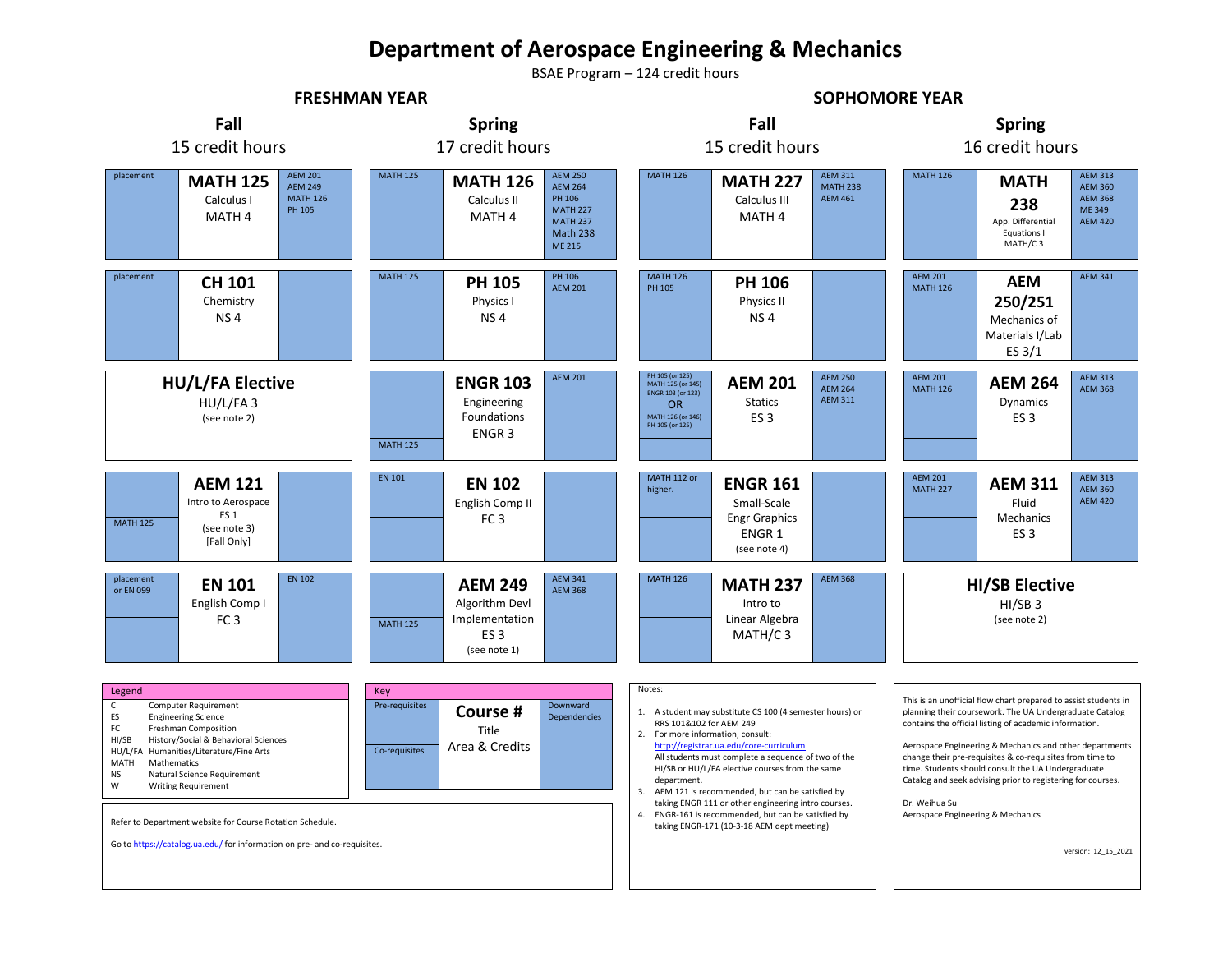## **Department of Aerospace Engineering & Mechanics**

BSAE Program – 124 credit hours

**FRESHMAN YEAR SOPHOMORE YEAR**